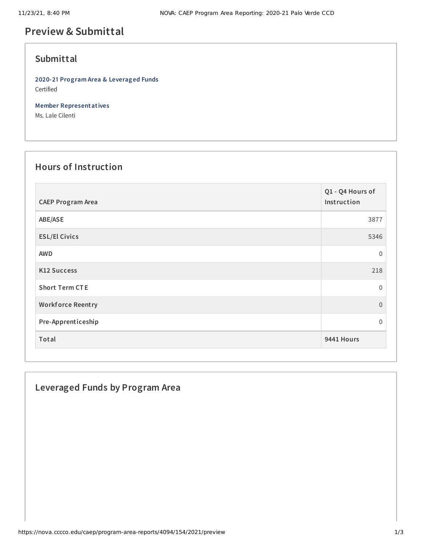# **Preview & Submittal**

### **Submittal**

**2020-21 Program Area & Leveraged Funds** Certified

**Member Representatives**

Ms. Lale Cilenti

## **Hours of Instruction**

| <b>CAEP Program Area</b> | Q1 - Q4 Hours of<br>Instruction |
|--------------------------|---------------------------------|
| ABE/ASE                  | 3877                            |
| <b>ESL/El Civics</b>     | 5346                            |
| <b>AWD</b>               | $\mathbf 0$                     |
| K12 Success              | 218                             |
| <b>Short Term CTE</b>    | $\Omega$                        |
| <b>Workforce Reentry</b> | $\overline{0}$                  |
| Pre-Apprenticeship       | 0                               |
| Total                    | 9441 Hours                      |

### **Leveraged Funds by Program Area**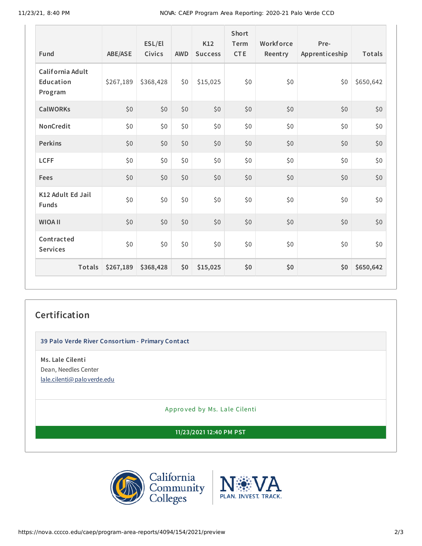11/23/21, 8:40 PM NOVA: CAEP Program Area Reporting: 2020-21 Palo Verde CCD

| Fund                                     | <b>ABE/ASE</b> | ESL/El<br><b>Civics</b> | <b>AWD</b> | K12<br><b>Success</b> | Short<br>Term<br><b>CTE</b> | Workforce<br>Reentry | Pre-<br>Apprenticeship | Totals    |
|------------------------------------------|----------------|-------------------------|------------|-----------------------|-----------------------------|----------------------|------------------------|-----------|
| California Adult<br>Education<br>Program | \$267,189      | \$368,428               | \$0        | \$15,025              | \$0                         | \$0                  | \$0                    | \$650,642 |
| <b>CalWORKs</b>                          | \$0            | \$0                     | \$0        | \$0                   | \$0                         | \$0                  | \$0                    | \$0       |
| NonCredit                                | \$0            | \$0                     | \$0        | \$0                   | \$0                         | \$0                  | \$0                    | \$0       |
| <b>Perkins</b>                           | \$0            | \$0                     | \$0        | \$0                   | \$0                         | \$0                  | \$0                    | \$0       |
| <b>LCFF</b>                              | \$0            | \$0                     | \$0        | \$0                   | \$0                         | \$0                  | \$0                    | \$0       |
| Fees                                     | \$0            | \$0                     | \$0        | \$0                   | \$0                         | \$0                  | \$0                    | \$0       |
| K12 Adult Ed Jail<br><b>Funds</b>        | \$0            | \$0                     | \$0        | \$0\$                 | \$0                         | \$0                  | \$0                    | \$0       |
| <b>WIOA II</b>                           | \$0            | \$0                     | \$0        | \$0                   | \$0                         | \$0                  | \$0                    | $$0$$     |
| Contracted<br><b>Services</b>            | \$0            | \$0                     | \$0        | \$0                   | \$0                         | \$0                  | \$0                    | \$0       |
| <b>Totals</b>                            | \$267,189      | \$368,428               | \$0        | \$15,025              | \$0                         | \$0                  | \$0                    | \$650,642 |

#### **Certification**

**39 Palo Verde River Consortium - Primary Contact**

**Ms. Lale Cilenti** Dean, Needles Center [lale.cilenti@paloverde.edu](mailto:lale.cilenti@paloverde.edu)

Appro ved by Ms. Lale Cilenti

**11/23/2021 12:40 PM PST**